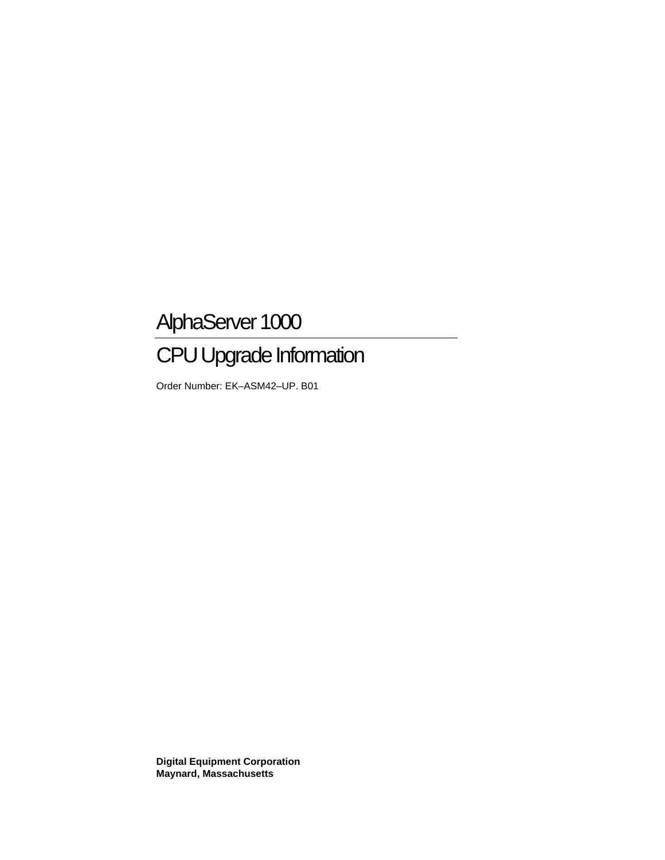# AlphaServer 1000

# CPU Upgrade Information

Order Number: EK–ASM42–UP. B01

**Digital Equipment Corporation Maynard, Massachusetts**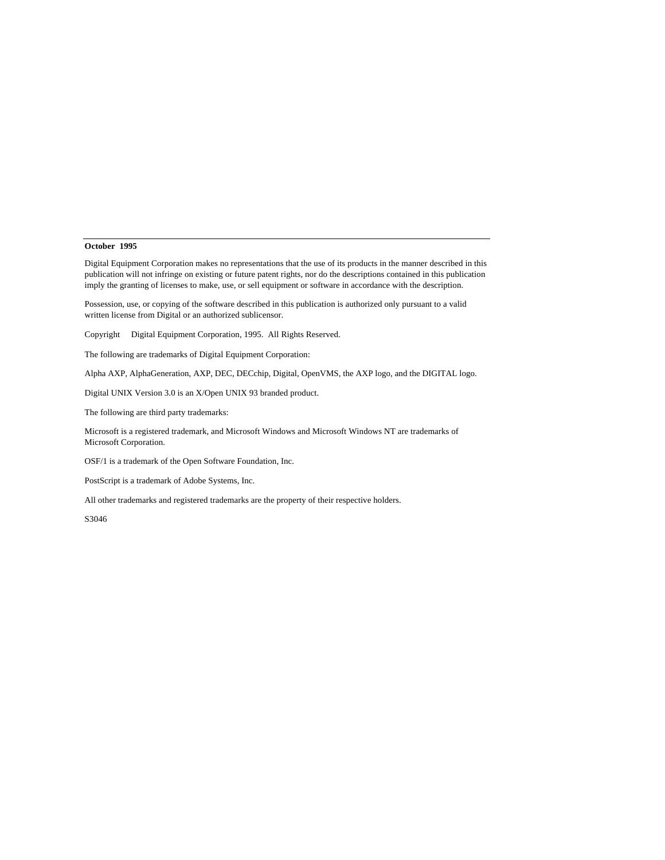#### **October 1995**

Digital Equipment Corporation makes no representations that the use of its products in the manner described in this publication will not infringe on existing or future patent rights, nor do the descriptions contained in this publication imply the granting of licenses to make, use, or sell equipment or software in accordance with the description.

Possession, use, or copying of the software described in this publication is authorized only pursuant to a valid written license from Digital or an authorized sublicensor.

Copyright © Digital Equipment Corporation, 1995. All Rights Reserved.

The following are trademarks of Digital Equipment Corporation:

Alpha AXP, AlphaGeneration, AXP, DEC, DECchip, Digital, OpenVMS, the AXP logo, and the DIGITAL logo.

Digital UNIX Version 3.0 is an X/Open UNIX 93 branded product.

The following are third party trademarks:

Microsoft is a registered trademark, and Microsoft Windows and Microsoft Windows NT are trademarks of Microsoft Corporation.

OSF/1 is a trademark of the Open Software Foundation, Inc.

PostScript is a trademark of Adobe Systems, Inc.

All other trademarks and registered trademarks are the property of their respective holders.

S3046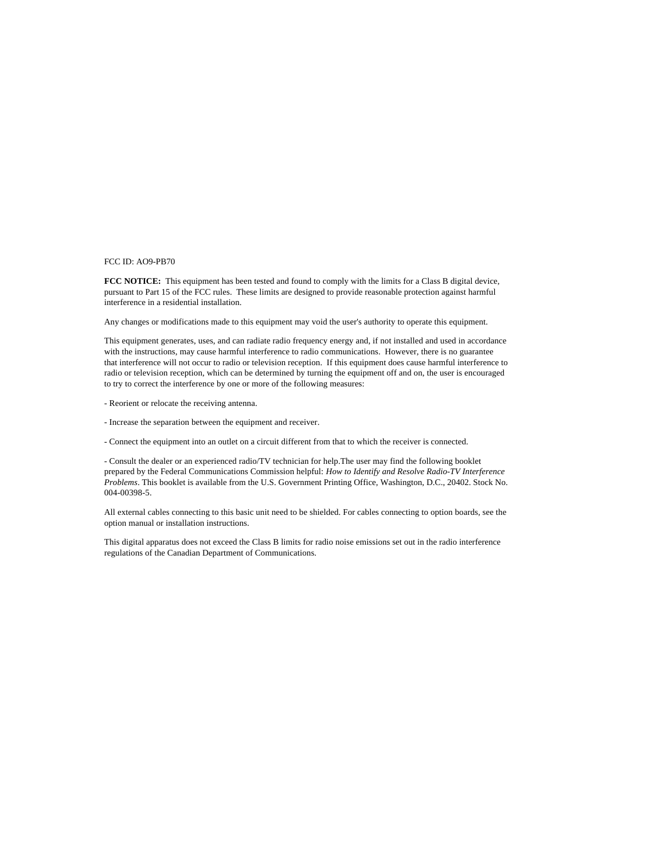#### FCC ID: AO9-PB70

**FCC NOTICE:** This equipment has been tested and found to comply with the limits for a Class B digital device, pursuant to Part 15 of the FCC rules. These limits are designed to provide reasonable protection against harmful interference in a residential installation.

Any changes or modifications made to this equipment may void the user's authority to operate this equipment.

This equipment generates, uses, and can radiate radio frequency energy and, if not installed and used in accordance with the instructions, may cause harmful interference to radio communications. However, there is no guarantee that interference will not occur to radio or television reception. If this equipment does cause harmful interference to radio or television reception, which can be determined by turning the equipment off and on, the user is encouraged to try to correct the interference by one or more of the following measures:

- Reorient or relocate the receiving antenna.
- Increase the separation between the equipment and receiver.
- Connect the equipment into an outlet on a circuit different from that to which the receiver is connected.

- Consult the dealer or an experienced radio/TV technician for help.The user may find the following booklet prepared by the Federal Communications Commission helpful: *How to Identify and Resolve Radio-TV Interference Problems*. This booklet is available from the U.S. Government Printing Office, Washington, D.C., 20402. Stock No. 004-00398-5.

All external cables connecting to this basic unit need to be shielded. For cables connecting to option boards, see the option manual or installation instructions.

This digital apparatus does not exceed the Class B limits for radio noise emissions set out in the radio interference regulations of the Canadian Department of Communications.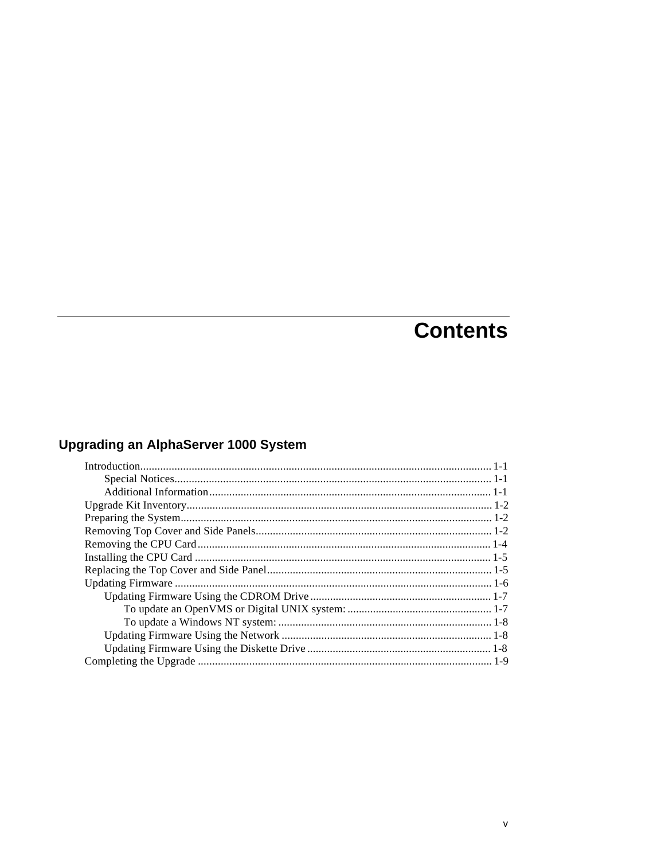# **Contents**

# **Upgrading an AlphaServer 1000 System**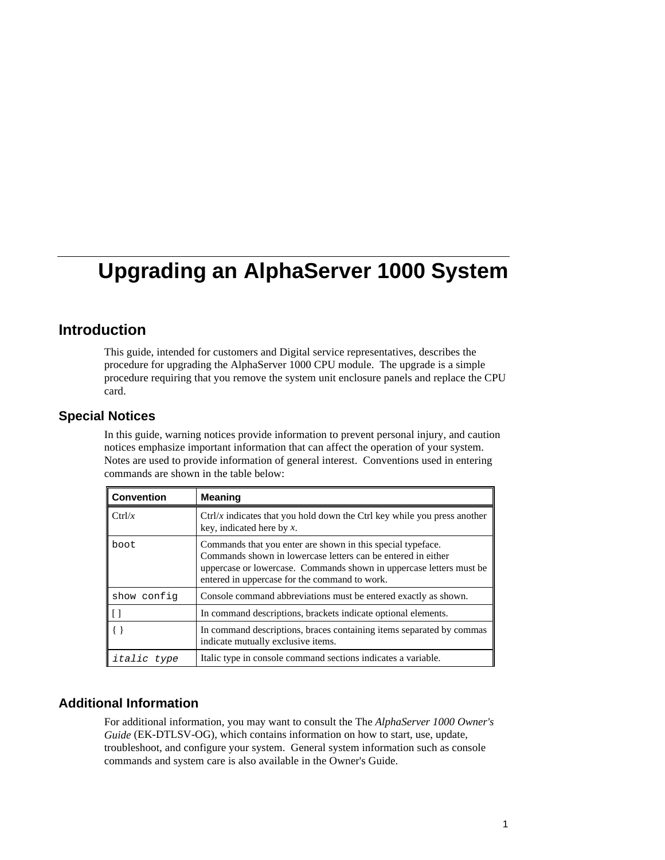## **Introduction**

This guide, intended for customers and Digital service representatives, describes the procedure for upgrading the AlphaServer 1000 CPU module. The upgrade is a simple procedure requiring that you remove the system unit enclosure panels and replace the CPU card.

### **Special Notices**

In this guide, warning notices provide information to prevent personal injury, and caution notices emphasize important information that can affect the operation of your system. Notes are used to provide information of general interest. Conventions used in entering commands are shown in the table below:

| <b>Convention</b>  | <b>Meaning</b>                                                                                                                                                                                                                                       |
|--------------------|------------------------------------------------------------------------------------------------------------------------------------------------------------------------------------------------------------------------------------------------------|
| Ctrl/x             | $\frac{C}{T}$ ctrl/x indicates that you hold down the Ctrl key while you press another<br>key, indicated here by $x$ .                                                                                                                               |
| boot               | Commands that you enter are shown in this special type face.<br>Commands shown in lowercase letters can be entered in either<br>uppercase or lowercase. Commands shown in uppercase letters must be<br>entered in uppercase for the command to work. |
| show config        | Console command abbreviations must be entered exactly as shown.                                                                                                                                                                                      |
|                    | In command descriptions, brackets indicate optional elements.                                                                                                                                                                                        |
|                    | In command descriptions, braces containing items separated by commas<br>indicate mutually exclusive items.                                                                                                                                           |
| <i>italic</i> type | Italic type in console command sections indicates a variable.                                                                                                                                                                                        |

## **Additional Information**

For additional information, you may want to consult the The *AlphaServer 1000 Owner's Guide* (EK-DTLSV-OG), which contains information on how to start, use, update, troubleshoot, and configure your system. General system information such as console commands and system care is also available in the Owner's Guide.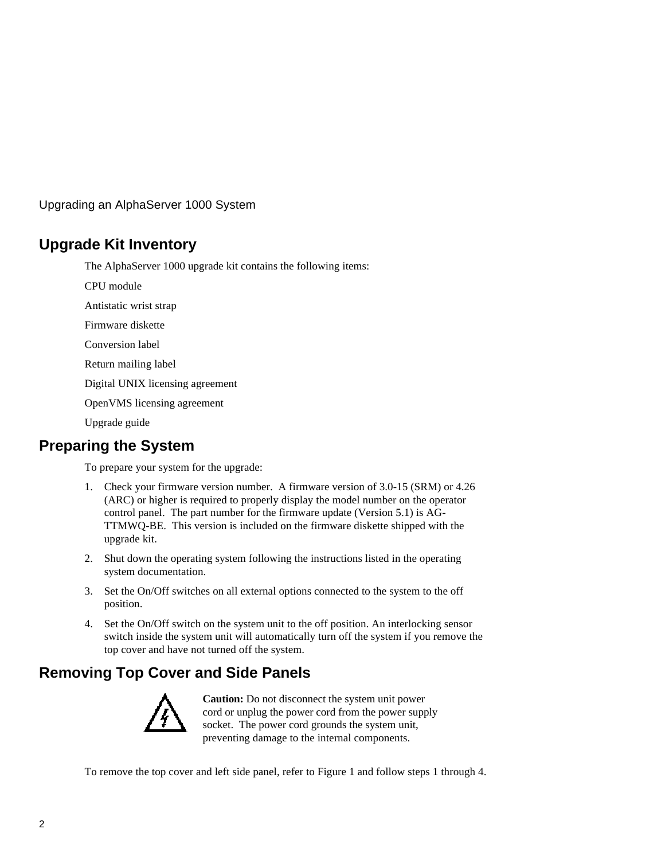# **Upgrade Kit Inventory**

The AlphaServer 1000 upgrade kit contains the following items:

CPU module

Antistatic wrist strap

Firmware diskette

Conversion label

Return mailing label

Digital UNIX licensing agreement

OpenVMS licensing agreement

Upgrade guide

# **Preparing the System**

To prepare your system for the upgrade:

- 1. Check your firmware version number. A firmware version of 3.0-15 (SRM) or 4.26 (ARC) or higher is required to properly display the model number on the operator control panel. The part number for the firmware update (Version 5.1) is AG-TTMWQ-BE. This version is included on the firmware diskette shipped with the upgrade kit.
- 2. Shut down the operating system following the instructions listed in the operating system documentation.
- 3. Set the On/Off switches on all external options connected to the system to the off position.
- 4. Set the On/Off switch on the system unit to the off position. An interlocking sensor switch inside the system unit will automatically turn off the system if you remove the top cover and have not turned off the system.

# **Removing Top Cover and Side Panels**



**Caution:** Do not disconnect the system unit power cord or unplug the power cord from the power supply socket. The power cord grounds the system unit, preventing damage to the internal components.

To remove the top cover and left side panel, refer to Figure 1 and follow steps 1 through 4.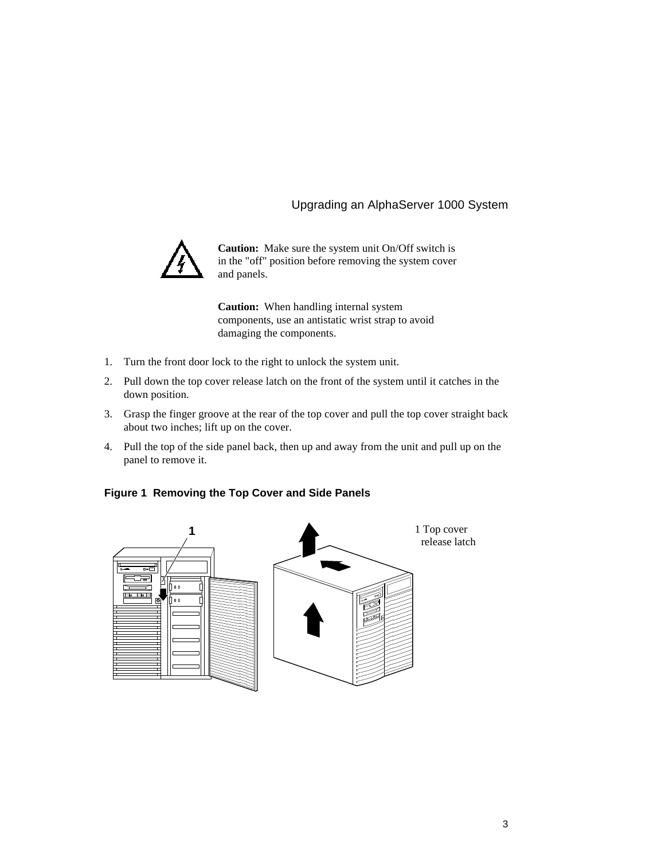

**Caution:** Make sure the system unit On/Off switch is in the "off" position before removing the system cover and panels.

**Caution:** When handling internal system components, use an antistatic wrist strap to avoid damaging the components.

- 1. Turn the front door lock to the right to unlock the system unit.
- 2. Pull down the top cover release latch on the front of the system until it catches in the down position.
- 3. Grasp the finger groove at the rear of the top cover and pull the top cover straight back about two inches; lift up on the cover.
- 4. Pull the top of the side panel back, then up and away from the unit and pull up on the panel to remove it.

#### **Figure 1 Removing the Top Cover and Side Panels**

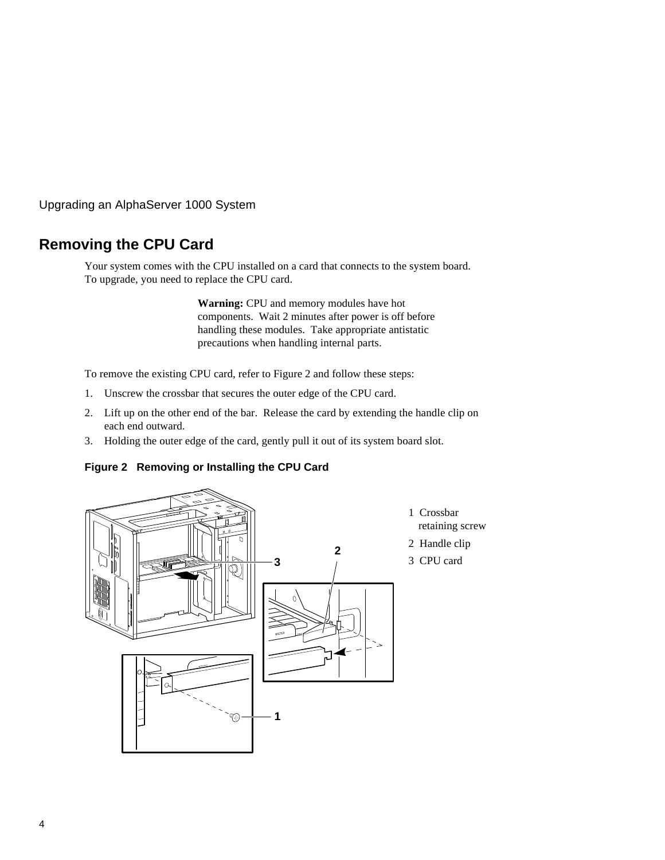# **Removing the CPU Card**

Your system comes with the CPU installed on a card that connects to the system board. To upgrade, you need to replace the CPU card.

> **Warning:** CPU and memory modules have hot components. Wait 2 minutes after power is off before handling these modules. Take appropriate antistatic precautions when handling internal parts.

To remove the existing CPU card, refer to Figure 2 and follow these steps:

- 1. Unscrew the crossbar that secures the outer edge of the CPU card.
- 2. Lift up on the other end of the bar. Release the card by extending the handle clip on each end outward.
- 3. Holding the outer edge of the card, gently pull it out of its system board slot.

**Figure 2 Removing or Installing the CPU Card**

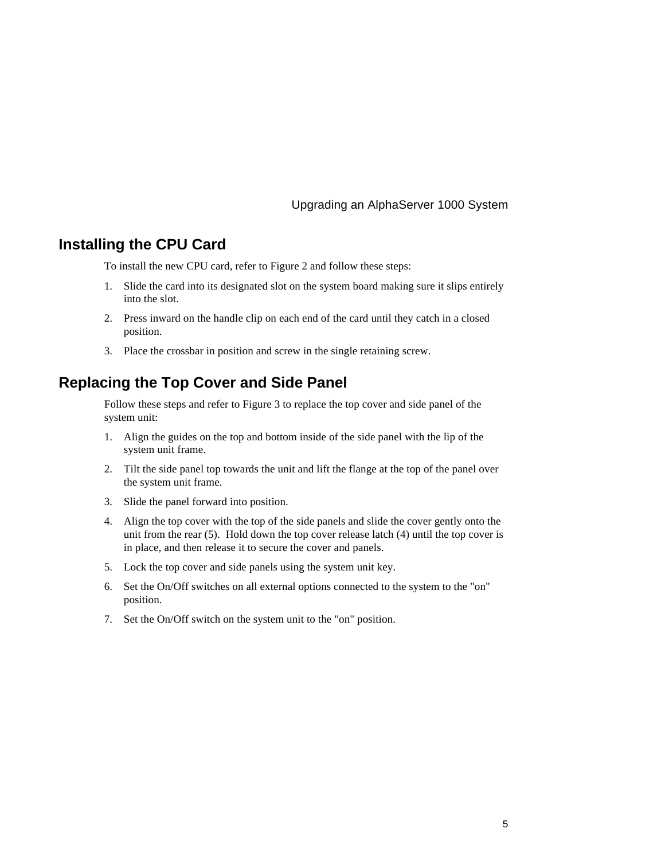## **Installing the CPU Card**

To install the new CPU card, refer to Figure 2 and follow these steps:

- 1. Slide the card into its designated slot on the system board making sure it slips entirely into the slot.
- 2. Press inward on the handle clip on each end of the card until they catch in a closed position.
- 3. Place the crossbar in position and screw in the single retaining screw.

## **Replacing the Top Cover and Side Panel**

Follow these steps and refer to Figure 3 to replace the top cover and side panel of the system unit:

- 1. Align the guides on the top and bottom inside of the side panel with the lip of the system unit frame.
- 2. Tilt the side panel top towards the unit and lift the flange at the top of the panel over the system unit frame.
- 3. Slide the panel forward into position.
- 4. Align the top cover with the top of the side panels and slide the cover gently onto the unit from the rear (5). Hold down the top cover release latch (4) until the top cover is in place, and then release it to secure the cover and panels.
- 5. Lock the top cover and side panels using the system unit key.
- 6. Set the On/Off switches on all external options connected to the system to the "on" position.
- 7. Set the On/Off switch on the system unit to the "on" position.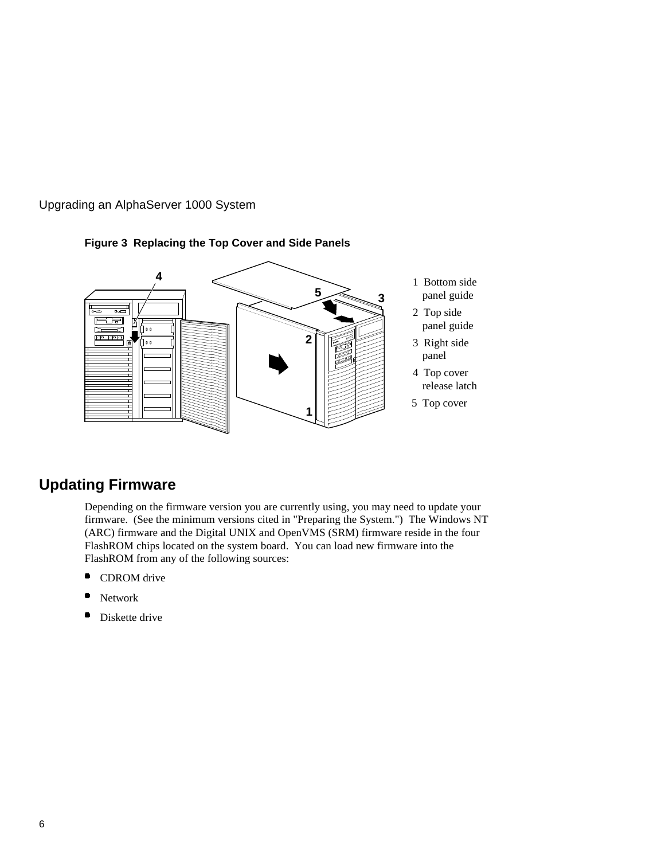



## **Figure 3 Replacing the Top Cover and Side Panels**

## **Updating Firmware**

Depending on the firmware version you are currently using, you may need to update your firmware. (See the minimum versions cited in "Preparing the System.") The Windows NT (ARC) firmware and the Digital UNIX and OpenVMS (SRM) firmware reside in the four FlashROM chips located on the system board. You can load new firmware into the FlashROM from any of the following sources:

- ۰ CDROM drive
- Network
- $\bullet$ Diskette drive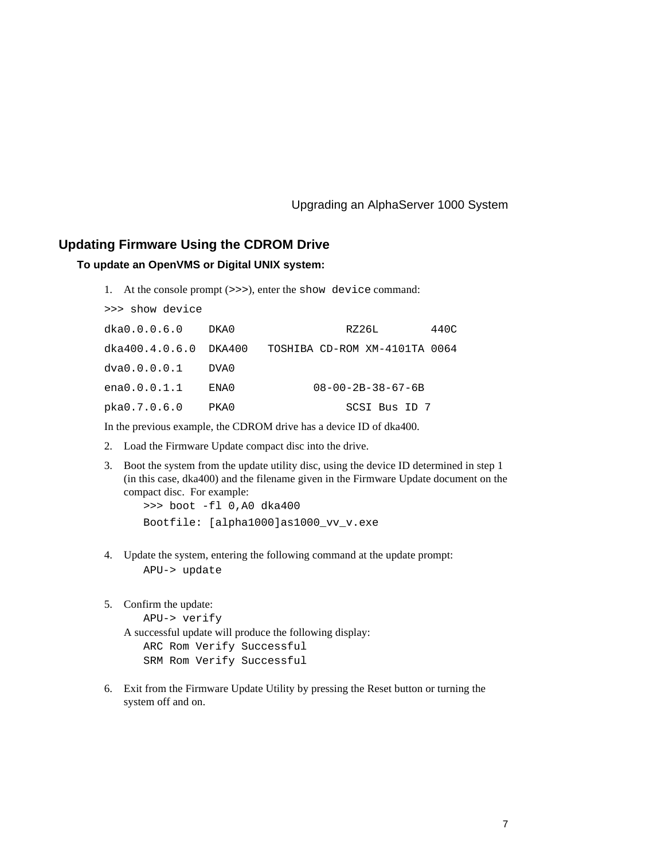### **Updating Firmware Using the CDROM Drive**

#### **To update an OpenVMS or Digital UNIX system:**

1. At the console prompt (>>>), enter the show device command:

| >>> show device           |      |                               |      |
|---------------------------|------|-------------------------------|------|
| dka0.0.0.6.0              | DKA0 | RZ26L                         | 440C |
| $dka400.4.0.6.0$ $DKA400$ |      | TOSHIBA CD-ROM XM-4101TA 0064 |      |
| dva0.0.0.0.1              | DVA0 |                               |      |
| ena0.0.0.1.1              | ENA0 | $08 - 00 - 2B - 38 - 67 - 6B$ |      |
| pka0.7.0.6.0              | PKA0 | SCSI Bus ID 7                 |      |

In the previous example, the CDROM drive has a device ID of dka400.

- 2. Load the Firmware Update compact disc into the drive.
- 3. Boot the system from the update utility disc, using the device ID determined in step 1 (in this case, dka400) and the filename given in the Firmware Update document on the compact disc. For example:

 >>> boot -fl 0,A0 dka400 Bootfile: [alpha1000]as1000\_vv\_v.exe

- 4. Update the system, entering the following command at the update prompt: APU-> update
- 5. Confirm the update:

```
 APU-> verify
```
A successful update will produce the following display:

```
 ARC Rom Verify Successful
 SRM Rom Verify Successful
```
6. Exit from the Firmware Update Utility by pressing the Reset button or turning the system off and on.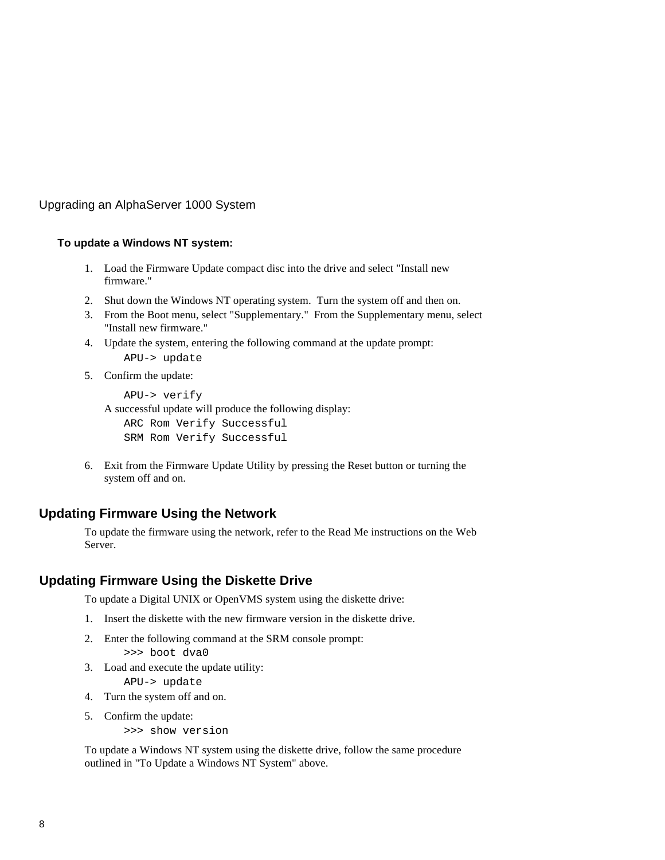#### **To update a Windows NT system:**

- 1. Load the Firmware Update compact disc into the drive and select "Install new firmware."
- 2. Shut down the Windows NT operating system. Turn the system off and then on.
- 3. From the Boot menu, select "Supplementary." From the Supplementary menu, select "Install new firmware."
- 4. Update the system, entering the following command at the update prompt: APU-> update
- 5. Confirm the update:

```
 APU-> verify
A successful update will produce the following display:
    ARC Rom Verify Successful
    SRM Rom Verify Successful
```
6. Exit from the Firmware Update Utility by pressing the Reset button or turning the system off and on.

## **Updating Firmware Using the Network**

To update the firmware using the network, refer to the Read Me instructions on the Web Server.

## **Updating Firmware Using the Diskette Drive**

To update a Digital UNIX or OpenVMS system using the diskette drive:

- 1. Insert the diskette with the new firmware version in the diskette drive.
- 2. Enter the following command at the SRM console prompt:

>>> boot dva0

3. Load and execute the update utility:

APU-> update

- 4. Turn the system off and on.
- 5. Confirm the update:

>>> show version

To update a Windows NT system using the diskette drive, follow the same procedure outlined in "To Update a Windows NT System" above.